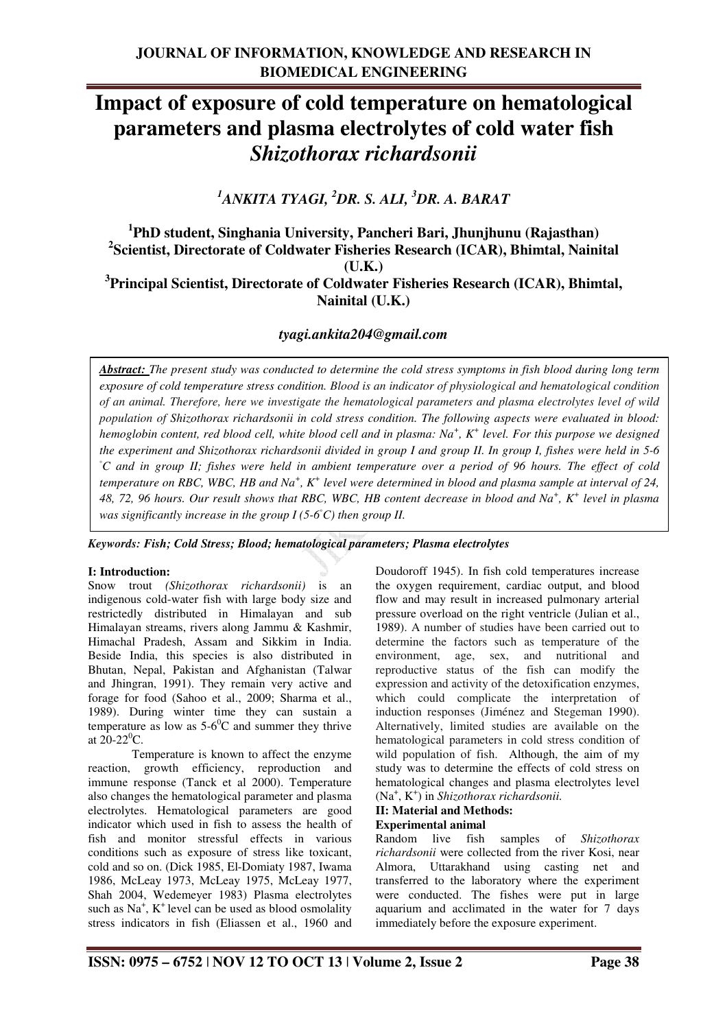# **Impact of exposure of cold temperature on hematological parameters and plasma electrolytes of cold water fish**  *Shizothorax richardsonii*

*<sup>1</sup>ANKITA TYAGI, <sup>2</sup>DR. S. ALI, <sup>3</sup>DR. A. BARAT* 

## **1 PhD student, Singhania University, Pancheri Bari, Jhunjhunu (Rajasthan) 2 Scientist, Directorate of Coldwater Fisheries Research (ICAR), Bhimtal, Nainital (U.K.) 3 Principal Scientist, Directorate of Coldwater Fisheries Research (ICAR), Bhimtal,**

# *tyagi.ankita204@gmail.com*

**Nainital (U.K.)** 

*Abstract: The present study was conducted to determine the cold stress symptoms in fish blood during long term exposure of cold temperature stress condition. Blood is an indicator of physiological and hematological condition of an animal. Therefore, here we investigate the hematological parameters and plasma electrolytes level of wild population of Shizothorax richardsonii in cold stress condition. The following aspects were evaluated in blood: hemoglobin content, red blood cell, white blood cell and in plasma: Na<sup>+</sup> , K<sup>+</sup> level. For this purpose we designed the experiment and Shizothorax richardsonii divided in group I and group II. In group I, fishes were held in 5-6*  ◦*C and in group II; fishes were held in ambient temperature over a period of 96 hours. The effect of cold*  temperature on RBC, WBC, HB and Na<sup>+</sup>, K<sup>+</sup> level were determined in blood and plasma sample at interval of 24, *48, 72, 96 hours. Our result shows that RBC, WBC, HB content decrease in blood and Na<sup>+</sup> , K<sup>+</sup> level in plasma was significantly increase in the group I (5-6*◦*C) then group II.*

#### *Keywords: Fish; Cold Stress; Blood; hematological parameters; Plasma electrolytes*

#### **I: Introduction:**

Snow trout *(Shizothorax richardsonii)* is an indigenous cold-water fish with large body size and restrictedly distributed in Himalayan and sub Himalayan streams, rivers along Jammu & Kashmir, Himachal Pradesh, Assam and Sikkim in India. Beside India, this species is also distributed in Bhutan, Nepal, Pakistan and Afghanistan (Talwar and Jhingran, 1991). They remain very active and forage for food (Sahoo et al., 2009; Sharma et al., 1989). During winter time they can sustain a temperature as low as  $5-6^{\circ}$ C and summer they thrive at  $20-22$ <sup>o</sup>C.

 Temperature is known to affect the enzyme reaction, growth efficiency, reproduction and immune response (Tanck et al 2000). Temperature also changes the hematological parameter and plasma electrolytes. Hematological parameters are good indicator which used in fish to assess the health of fish and monitor stressful effects in various conditions such as exposure of stress like toxicant, cold and so on. (Dick 1985, El-Domiaty 1987, Iwama 1986, McLeay 1973, McLeay 1975, McLeay 1977, Shah 2004, Wedemeyer 1983) Plasma electrolytes such as  $Na^+$ ,  $K^+$  level can be used as blood osmolality stress indicators in fish (Eliassen et al., 1960 and

Doudoroff 1945). In fish cold temperatures increase the oxygen requirement, cardiac output, and blood flow and may result in increased pulmonary arterial pressure overload on the right ventricle (Julian et al., 1989). A number of studies have been carried out to determine the factors such as temperature of the environment, age, sex, and nutritional and reproductive status of the fish can modify the expression and activity of the detoxification enzymes, which could complicate the interpretation of induction responses (Jiménez and Stegeman 1990). Alternatively, limited studies are available on the hematological parameters in cold stress condition of wild population of fish. Although, the aim of my study was to determine the effects of cold stress on hematological changes and plasma electrolytes level (Na<sup>+</sup> , K<sup>+</sup> ) in *Shizothorax richardsonii.*

## **II: Material and Methods:**

**Experimental animal**  fish samples of *Shizothorax richardsonii* were collected from the river Kosi, near Almora, Uttarakhand using casting net and transferred to the laboratory where the experiment were conducted. The fishes were put in large aquarium and acclimated in the water for 7 days immediately before the exposure experiment.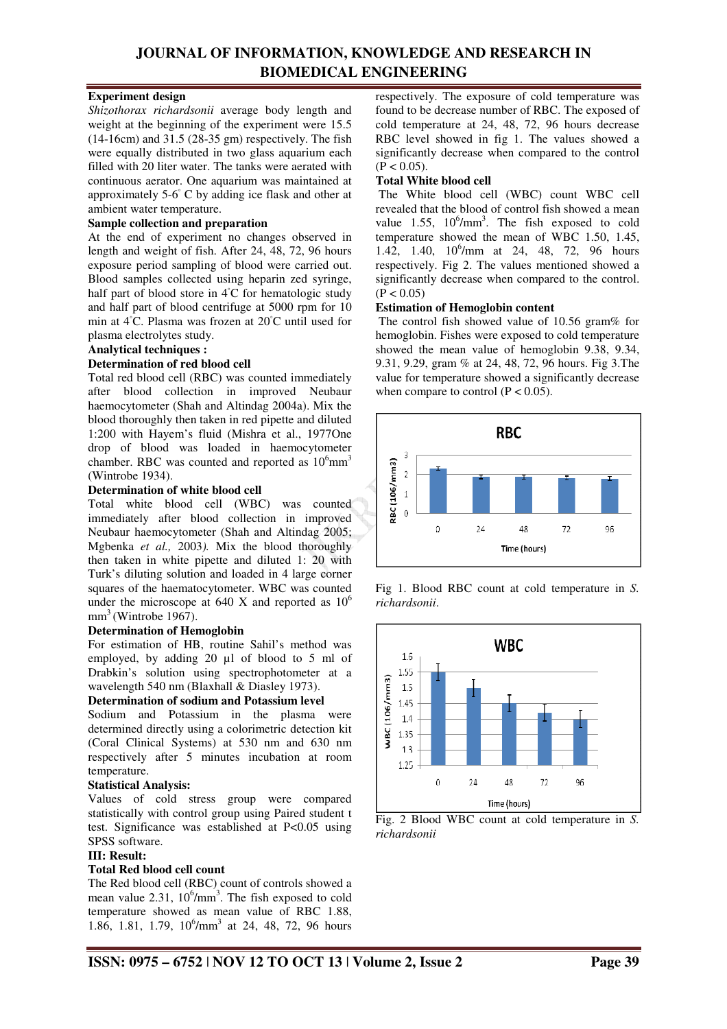## **JOURNAL OF INFORMATION, KNOWLEDGE AND RESEARCH IN BIOMEDICAL ENGINEERING**

### **Experiment design**

*Shizothorax richardsonii* average body length and weight at the beginning of the experiment were 15.5 (14-16cm) and 31.5 (28-35 gm) respectively. The fish were equally distributed in two glass aquarium each filled with 20 liter water. The tanks were aerated with continuous aerator. One aquarium was maintained at approximately 5-6◦ C by adding ice flask and other at ambient water temperature.

### **Sample collection and preparation**

At the end of experiment no changes observed in length and weight of fish. After 24, 48, 72, 96 hours exposure period sampling of blood were carried out. Blood samples collected using heparin zed syringe, half part of blood store in 4◦C for hematologic study and half part of blood centrifuge at 5000 rpm for 10 min at 4◦C. Plasma was frozen at 20◦C until used for plasma electrolytes study.

#### **Analytical techniques :**

#### **Determination of red blood cell**

Total red blood cell (RBC) was counted immediately after blood collection in improved Neubaur haemocytometer (Shah and Altindag 2004a). Mix the blood thoroughly then taken in red pipette and diluted 1:200 with Hayem's fluid (Mishra et al., 1977One drop of blood was loaded in haemocytometer chamber. RBC was counted and reported as  $10^6$ mm<sup>3</sup> (Wintrobe 1934).

#### **Determination of white blood cell**

Total white blood cell (WBC) was counted immediately after blood collection in improved Neubaur haemocytometer (Shah and Altindag 2005; Mgbenka *et al.,* 2003*).* Mix the blood thoroughly then taken in white pipette and diluted 1: 20 with Turk's diluting solution and loaded in 4 large corner squares of the haematocytometer. WBC was counted under the microscope at 640 X and reported as  $10^6$  $mm<sup>3</sup>$  (Wintrobe 1967).

### **Determination of Hemoglobin**

For estimation of HB, routine Sahil's method was employed, by adding 20 µl of blood to 5 ml of Drabkin's solution using spectrophotometer at a wavelength 540 nm (Blaxhall & Diasley 1973).

#### **Determination of sodium and Potassium level**

Sodium and Potassium in the plasma were determined directly using a colorimetric detection kit (Coral Clinical Systems) at 530 nm and 630 nm respectively after 5 minutes incubation at room temperature.

#### **Statistical Analysis:**

Values of cold stress group were compared statistically with control group using Paired student t test. Significance was established at P<0.05 using SPSS software.

#### **III: Result:**

### **Total Red blood cell count**

The Red blood cell (RBC) count of controls showed a mean value  $2.31, 10^6/\text{mm}^3$ . The fish exposed to cold temperature showed as mean value of RBC 1.88, 1.86, 1.81, 1.79,  $10^6/\text{mm}^3$  at 24, 48, 72, 96 hours respectively. The exposure of cold temperature was found to be decrease number of RBC. The exposed of cold temperature at 24, 48, 72, 96 hours decrease RBC level showed in fig 1. The values showed a significantly decrease when compared to the control  $(P < 0.05)$ .

#### **Total White blood cell**

 The White blood cell (WBC) count WBC cell revealed that the blood of control fish showed a mean value 1.55,  $10^6/\text{mm}^3$ . The fish exposed to cold temperature showed the mean of WBC 1.50, 1.45, 1.42, 1.40,  $10^6$ /mm at 24, 48, 72, 96 hours respectively. Fig 2. The values mentioned showed a significantly decrease when compared to the control.  $(P < 0.05)$ 

#### **Estimation of Hemoglobin content**

 The control fish showed value of 10.56 gram% for hemoglobin. Fishes were exposed to cold temperature showed the mean value of hemoglobin 9.38, 9.34, 9.31, 9.29, gram % at 24, 48, 72, 96 hours. Fig 3.The value for temperature showed a significantly decrease when compare to control  $(P < 0.05)$ .



Fig 1. Blood RBC count at cold temperature in *S. richardsonii*.



Fig. 2 Blood WBC count at cold temperature in *S. richardsonii*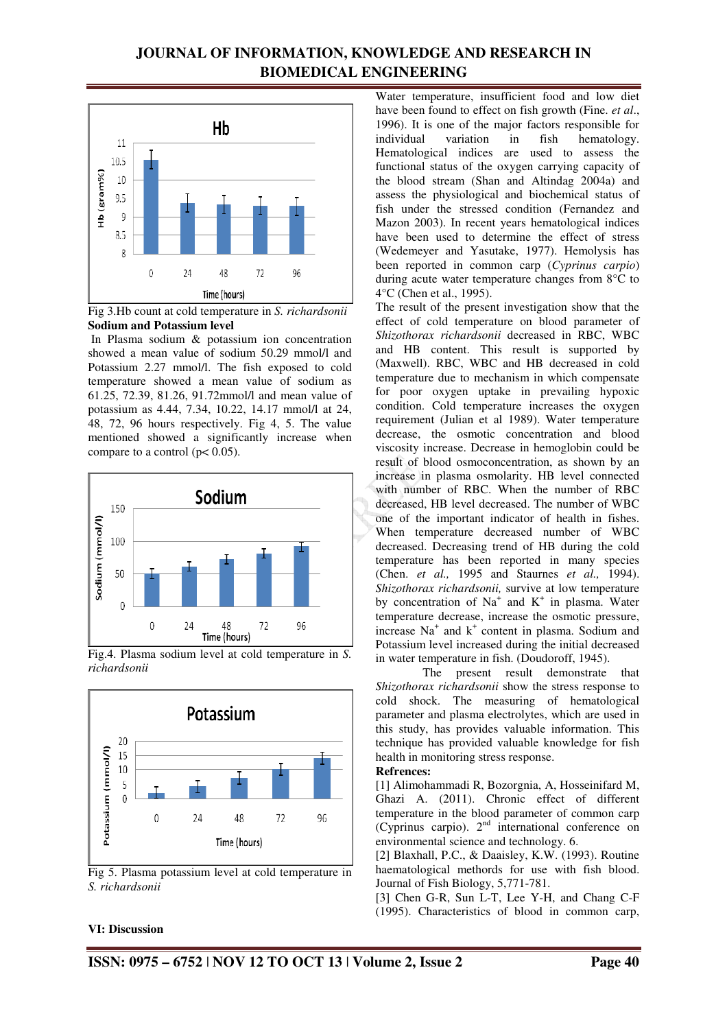## **JOURNAL OF INFORMATION, KNOWLEDGE AND RESEARCH IN BIOMEDICAL ENGINEERING**



Fig 3.Hb count at cold temperature in *S. richardsonii* **Sodium and Potassium level** 

 In Plasma sodium & potassium ion concentration showed a mean value of sodium 50.29 mmol/l and Potassium 2.27 mmol/l. The fish exposed to cold temperature showed a mean value of sodium as 61.25, 72.39, 81.26, 91.72mmol/l and mean value of potassium as 4.44, 7.34, 10.22, 14.17 mmol/l at 24, 48, 72, 96 hours respectively. Fig 4, 5. The value mentioned showed a significantly increase when compare to a control ( $p < 0.05$ ).



Fig.4. Plasma sodium level at cold temperature in *S. richardsonii* 



Fig 5. Plasma potassium level at cold temperature in *S. richardsonii* 

Water temperature, insufficient food and low diet have been found to effect on fish growth (Fine. *et al*., 1996). It is one of the major factors responsible for individual variation in fish hematology. Hematological indices are used to assess the functional status of the oxygen carrying capacity of the blood stream (Shan and Altindag 2004a) and assess the physiological and biochemical status of fish under the stressed condition (Fernandez and Mazon 2003). In recent years hematological indices have been used to determine the effect of stress (Wedemeyer and Yasutake, 1977). Hemolysis has been reported in common carp (*Cyprinus carpio*) during acute water temperature changes from 8°C to 4°C (Chen et al., 1995).

The result of the present investigation show that the effect of cold temperature on blood parameter of *Shizothorax richardsonii* decreased in RBC, WBC and HB content. This result is supported by (Maxwell). RBC, WBC and HB decreased in cold temperature due to mechanism in which compensate for poor oxygen uptake in prevailing hypoxic condition. Cold temperature increases the oxygen requirement (Julian et al 1989). Water temperature decrease, the osmotic concentration and blood viscosity increase. Decrease in hemoglobin could be result of blood osmoconcentration, as shown by an increase in plasma osmolarity. HB level connected with number of RBC. When the number of RBC decreased, HB level decreased. The number of WBC one of the important indicator of health in fishes. When temperature decreased number of WBC decreased. Decreasing trend of HB during the cold temperature has been reported in many species (Chen. *et al.,* 1995 and Staurnes *et al.,* 1994). *Shizothorax richardsonii,* survive at low temperature by concentration of  $Na<sup>+</sup>$  and  $K<sup>+</sup>$  in plasma. Water temperature decrease, increase the osmotic pressure, increase Na<sup>+</sup> and k<sup>+</sup> content in plasma. Sodium and Potassium level increased during the initial decreased in water temperature in fish. (Doudoroff, 1945).

 The present result demonstrate that *Shizothorax richardsonii* show the stress response to cold shock. The measuring of hematological parameter and plasma electrolytes, which are used in this study, has provides valuable information. This technique has provided valuable knowledge for fish health in monitoring stress response.

#### **Refrences:**

[1] Alimohammadi R, Bozorgnia, A, Hosseinifard M, Ghazi A. (2011). Chronic effect of different temperature in the blood parameter of common carp (Cyprinus carpio).  $2<sup>nd</sup>$  international conference on environmental science and technology. 6.

[2] Blaxhall, P.C., & Daaisley, K.W. (1993). Routine haematological methords for use with fish blood. Journal of Fish Biology, 5,771-781.

[3] Chen G-R, Sun L-T, Lee Y-H, and Chang C-F (1995). Characteristics of blood in common carp,

#### **VI: Discussion**